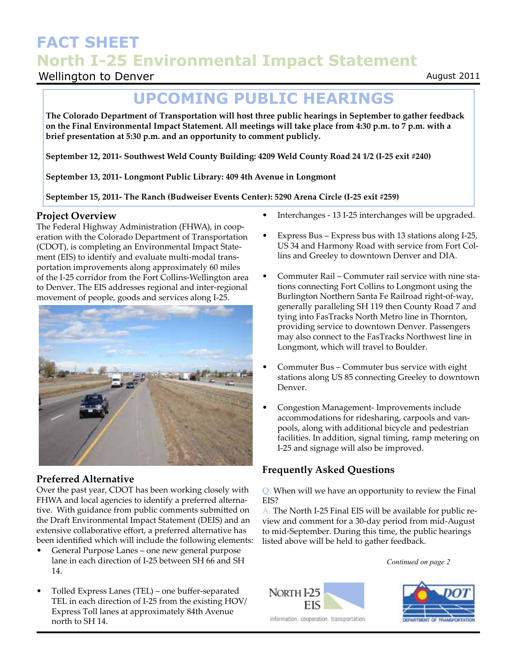## **FACT SHEET North I-25 Environmental Impact Statement**

## Wellington to Denver

## **UPCOMING PUBLIC HEARINGS**

**The Colorado Department of Transportation will host three public hearings in September to gather feedback on the Final Environmental Impact Statement. All meetings will take place from 4:30 p.m. to 7 p.m. with a brief presentation at 5:30 p.m. and an opportunity to comment publicly.** 

**September 12, 2011- Southwest Weld County Building: 4209 Weld County Road 24 1/2 (I-25 exit #240)**

**September 13, 2011- Longmont Public Library: 409 4th Avenue in Longmont**

**September 15, 2011- The Ranch (Budweiser Events Center): 5290 Arena Circle (I-25 exit #259)**

#### **Project Overview**

The Federal Highway Administration (FHWA), in cooperation with the Colorado Department of Transportation (CDOT), is completing an Environmental Impact Statement (EIS) to identify and evaluate multi-modal transportation improvements along approximately 60 miles of the I-25 corridor from the Fort Collins-Wellington area to Denver. The EIS addresses regional and inter-regional movement of people, goods and services along I-25.



#### **Preferred Alternative**

Over the past year, CDOT has been working closely with FHWA and local agencies to identify a preferred alternative. With guidance from public comments submitted on the Draft Environmental Impact Statement (DEIS) and an extensive collaborative effort, a preferred alternative has been identified which will include the following elements:

- General Purpose Lanes one new general purpose lane in each direction of I-25 between SH 66 and SH 14.
- Tolled Express Lanes (TEL) one buffer-separated TEL in each direction of I-25 from the existing HOV/ Express Toll lanes at approximately 84th Avenue north to SH 14.
- Interchanges 13 I-25 interchanges will be upgraded.
- Express Bus Express bus with 13 stations along I-25, US 34 and Harmony Road with service from Fort Collins and Greeley to downtown Denver and DIA.
- Commuter Rail Commuter rail service with nine stations connecting Fort Collins to Longmont using the Burlington Northern Santa Fe Railroad right-of-way, generally paralleling SH 119 then County Road 7 and tying into FasTracks North Metro line in Thornton, providing service to downtown Denver. Passengers may also connect to the FasTracks Northwest line in Longmont, which will travel to Boulder.
- Commuter Bus Commuter bus service with eight stations along US 85 connecting Greeley to downtown Denver.
- Congestion Management- Improvements include accommodations for ridesharing, carpools and vanpools, along with additional bicycle and pedestrian facilities. In addition, signal timing, ramp metering on I-25 and signage will also be improved.

### **Frequently Asked Questions**

**Q.** When will we have an opportunity to review the Final EIS?

A. The North I-25 Final EIS will be available for public review and comment for a 30-day period from mid-August to mid-September. During this time, the public hearings listed above will be held to gather feedback.

*Continued on page 2*





August 2011